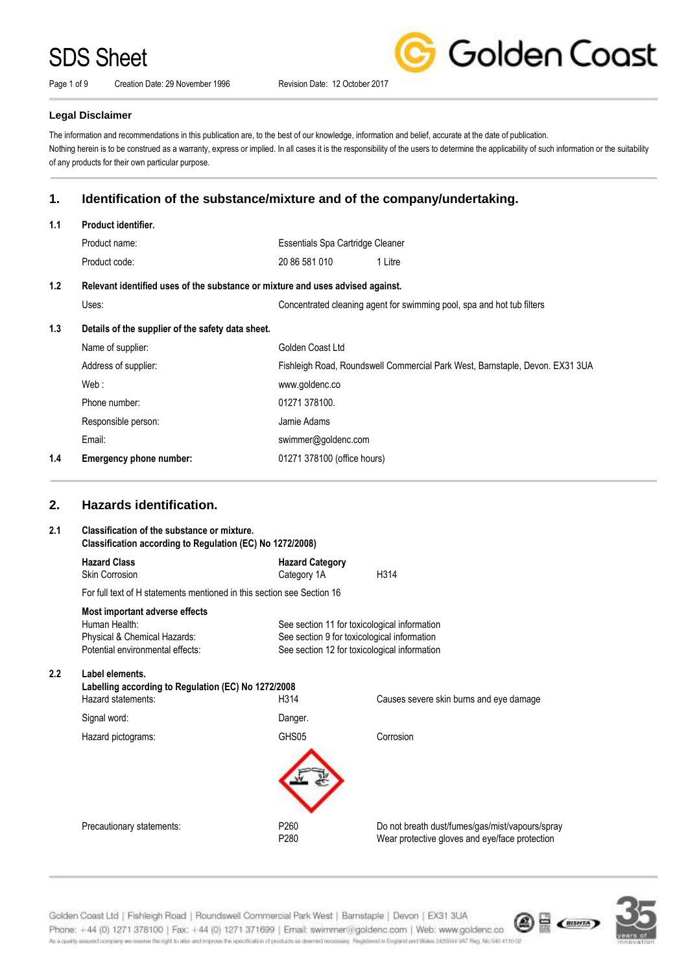Page 1 of 9 Creation Date: 29 November 1996 Revision Date: 12 October 2017

Golden Coast

# **Legal Disclaimer**

The information and recommendations in this publication are, to the best of our knowledge, information and belief, accurate at the date of publication. Nothing herein is to be construed as a warranty, express or implied. In all cases it is the responsibility of the users to determine the applicability of such information or the suitability of any products for their own particular purpose.

# **1. Identification of the substance/mixture and of the company/undertaking.**

# **1.1 Product identifier.** Product name: Essentials Spa Cartridge Cleaner Product code: 20 86 581 010 1 Litre **1.2 Relevant identified uses of the substance or mixture and uses advised against.** Uses: Concentrated cleaning agent for swimming pool, spa and hot tub filters **1.3 Details of the supplier of the safety data sheet.** Name of supplier: Golden Coast Ltd Address of supplier: Fishleigh Road, Roundswell Commercial Park West, Barnstaple, Devon. EX31 3UA Web : www.goldenc.co Phone number: 01271 378100. Responsible person: **Access 19 amic Adams** Jamie Adams Email: Swimmer@goldenc.com **1.4 Emergency phone number:** 01271 378100 (office hours)

# **2. Hazards identification.**

# **2.1 Classification of the substance or mixture. Classification according to Regulation (EC) No 1272/2008) Hazard Class Hazard Category**<br> **Hazard Category**<br>
Category 1A Category 1A H314 For full text of H statements mentioned in this section see Section 16 **Most important adverse effects** Human Health: See section 11 for toxicological information Physical & Chemical Hazards:<br>
Potential environmental effects: See section 12 for toxicological information<br>
See section 12 for toxicological information See section 12 for toxicological information **2.2 Label elements. Labelling according to Regulation (EC) No 1272/2008** Hazard statements: H314 Causes severe skin burns and eye damage Signal word: Danger. Hazard pictograms: GHS05 Corrosion Precautionary statements: P260 Do not breath dust/fumes/gas/mist/vapours/spray P280 Wear protective gloves and eye/face protection

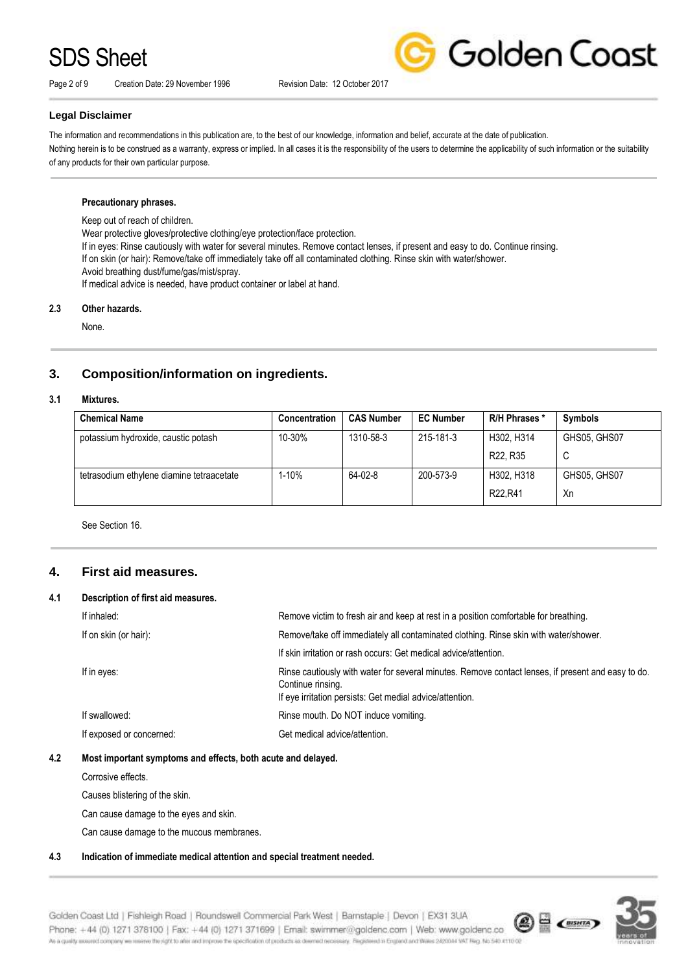Page 2 of 9 Creation Date: 29 November 1996 Revision Date: 12 October 2017

Golden Coast

#### **Legal Disclaimer**

The information and recommendations in this publication are, to the best of our knowledge, information and belief, accurate at the date of publication. Nothing herein is to be construed as a warranty, express or implied. In all cases it is the responsibility of the users to determine the applicability of such information or the suitability of any products for their own particular purpose.

#### **Precautionary phrases.**

Keep out of reach of children.

Wear protective gloves/protective clothing/eye protection/face protection.

If in eyes: Rinse cautiously with water for several minutes. Remove contact lenses, if present and easy to do. Continue rinsing.

If on skin (or hair): Remove/take off immediately take off all contaminated clothing. Rinse skin with water/shower.

Avoid breathing dust/fume/gas/mist/spray.

If medical advice is needed, have product container or label at hand.

#### **2.3 Other hazards.**

None.

# **3. Composition/information on ingredients.**

# **3.1 Mixtures.**

| <b>Chemical Name</b>                      | <b>Concentration</b> | <b>CAS Number</b> | <b>EC Number</b> | R/H Phrases *                     | <b>Symbols</b> |
|-------------------------------------------|----------------------|-------------------|------------------|-----------------------------------|----------------|
| potassium hydroxide, caustic potash       | 10-30%               | 1310-58-3         | 215-181-3        | H302, H314                        | GHS05, GHS07   |
|                                           |                      |                   |                  | R <sub>22</sub> , R <sub>35</sub> | C              |
| tetrasodium ethylene diamine tetraacetate | 1-10%                | 64-02-8           | 200-573-9        | H302, H318                        | GHS05, GHS07   |
|                                           |                      |                   |                  | R22.R41                           | Xn             |

See Section 16.

# **4. First aid measures.**

#### **4.1 Description of first aid measures.**

| If inhaled:              | Remove victim to fresh air and keep at rest in a position comfortable for breathing.                                                                                                |
|--------------------------|-------------------------------------------------------------------------------------------------------------------------------------------------------------------------------------|
| If on skin (or hair):    | Remove/take off immediately all contaminated clothing. Rinse skin with water/shower.                                                                                                |
|                          | If skin irritation or rash occurs: Get medical advice/attention.                                                                                                                    |
| If in eyes:              | Rinse cautiously with water for several minutes. Remove contact lenses, if present and easy to do.<br>Continue rinsing.<br>If eye irritation persists: Get medial advice/attention. |
| If swallowed:            | Rinse mouth. Do NOT induce vomiting.                                                                                                                                                |
| If exposed or concerned: | Get medical advice/attention.                                                                                                                                                       |

# **4.2 Most important symptoms and effects, both acute and delayed.**

Corrosive effects.

Causes blistering of the skin.

Can cause damage to the eyes and skin.

Can cause damage to the mucous membranes.

# **4.3 Indication of immediate medical attention and special treatment needed.**



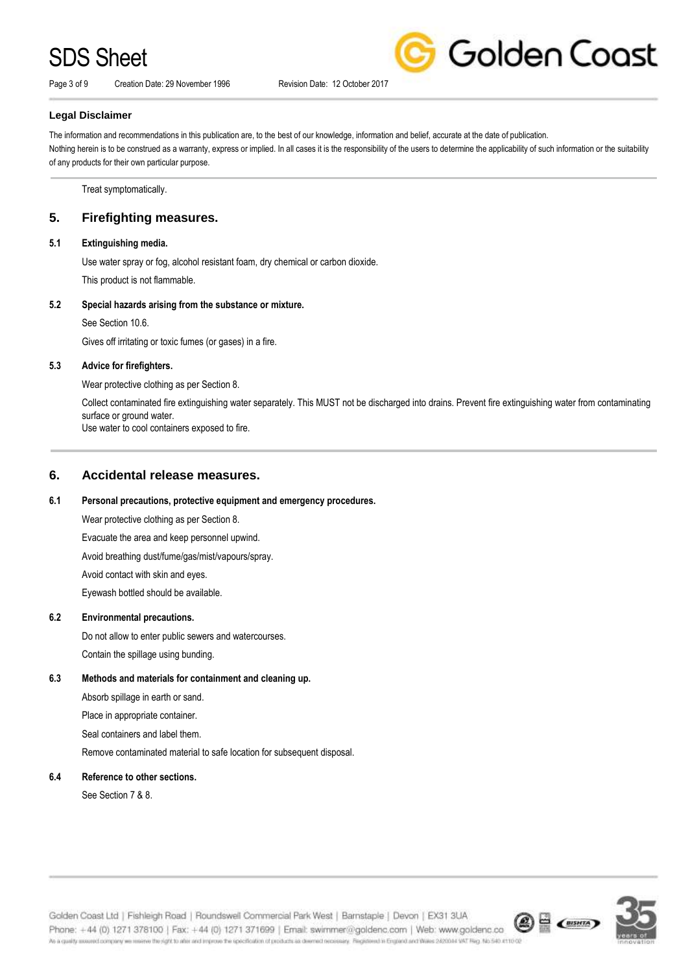

Golden Coast

# **Legal Disclaimer**

The information and recommendations in this publication are, to the best of our knowledge, information and belief, accurate at the date of publication. Nothing herein is to be construed as a warranty, express or implied. In all cases it is the responsibility of the users to determine the applicability of such information or the suitability of any products for their own particular purpose.

Treat symptomatically.

# **5. Firefighting measures.**

#### **5.1 Extinguishing media.**

Use water spray or fog, alcohol resistant foam, dry chemical or carbon dioxide. This product is not flammable.

#### **5.2 Special hazards arising from the substance or mixture.**

See Section 10.6. Gives off irritating or toxic fumes (or gases) in a fire.

#### **5.3 Advice for firefighters.**

Wear protective clothing as per Section 8.

Collect contaminated fire extinguishing water separately. This MUST not be discharged into drains. Prevent fire extinguishing water from contaminating surface or ground water.

Use water to cool containers exposed to fire.

# **6. Accidental release measures.**

## **6.1 Personal precautions, protective equipment and emergency procedures.**

Wear protective clothing as per Section 8.

Evacuate the area and keep personnel upwind.

Avoid breathing dust/fume/gas/mist/vapours/spray.

Avoid contact with skin and eyes.

Eyewash bottled should be available.

## **6.2 Environmental precautions.**

Do not allow to enter public sewers and watercourses.

Contain the spillage using bunding.

# **6.3 Methods and materials for containment and cleaning up.**

Absorb spillage in earth or sand.

Place in appropriate container.

Seal containers and label them.

Remove contaminated material to safe location for subsequent disposal.

#### **6.4 Reference to other sections.**

See Section 7 & 8.



Golden Coast Ltd | Fishleigh Road | Roundswell Commercial Park West | Barnstaple | Devon | EX31 3UA  $\circledR$   $\circ$ Phone: +44 (0) 1271 378100 | Fax: +44 (0) 1271 371699 | Email: swimmer@goldenc.com | Web: www.goldenc.co we the right to aller and improve the specification of products as deemed necessary. Registered in England and Wales 2420044 WAT Reg. No 540 #110 02 As a quality assured company we is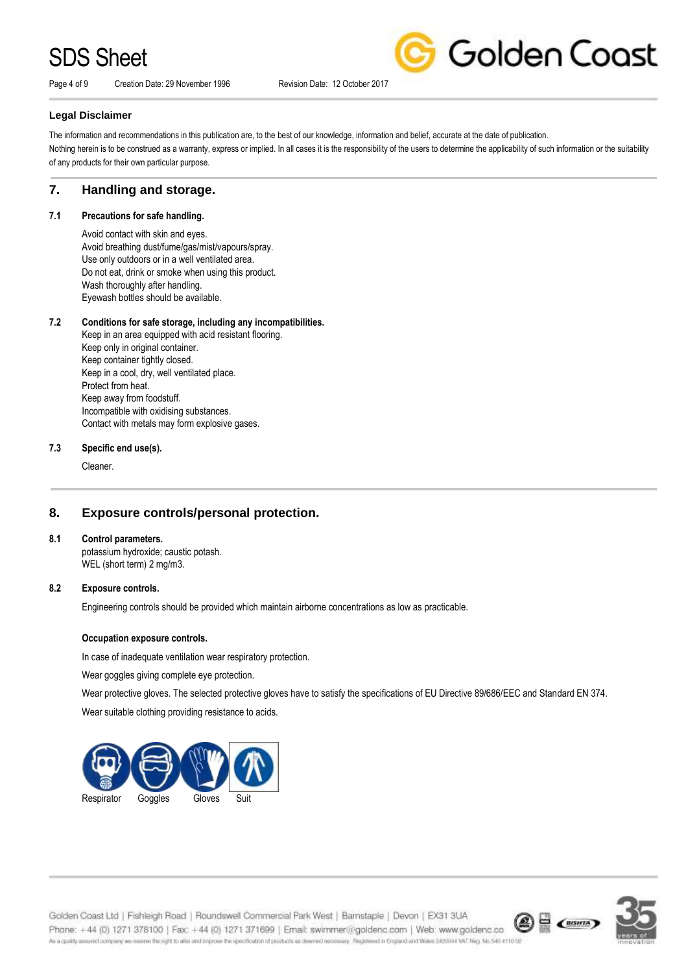Page 4 of 9 Creation Date: 29 November 1996 Revision Date: 12 October 2017



#### **Legal Disclaimer**

The information and recommendations in this publication are, to the best of our knowledge, information and belief, accurate at the date of publication. Nothing herein is to be construed as a warranty, express or implied. In all cases it is the responsibility of the users to determine the applicability of such information or the suitability of any products for their own particular purpose.

# **7. Handling and storage.**

#### **7.1 Precautions for safe handling.**

Avoid contact with skin and eyes. Avoid breathing dust/fume/gas/mist/vapours/spray. Use only outdoors or in a well ventilated area. Do not eat, drink or smoke when using this product. Wash thoroughly after handling. Eyewash bottles should be available.

## **7.2 Conditions for safe storage, including any incompatibilities.**

Keep in an area equipped with acid resistant flooring. Keep only in original container. Keep container tightly closed. Keep in a cool, dry, well ventilated place. Protect from heat. Keep away from foodstuff. Incompatible with oxidising substances. Contact with metals may form explosive gases.

## **7.3 Specific end use(s).**

Cleaner.

# **8. Exposure controls/personal protection.**

#### **8.1 Control parameters.**

potassium hydroxide; caustic potash. WEL (short term) 2 mg/m3.

# **8.2 Exposure controls.**

Engineering controls should be provided which maintain airborne concentrations as low as practicable.

#### **Occupation exposure controls.**

In case of inadequate ventilation wear respiratory protection.

Wear goggles giving complete eye protection.

Wear protective gloves. The selected protective gloves have to satisfy the specifications of EU Directive 89/686/EEC and Standard EN 374. Wear suitable clothing providing resistance to acids.



Golden Coast Ltd | Fishleigh Road | Roundswell Commercial Park West | Barnstaple | Devon | EX31 3UA Phone: +44 (0) 1271 378100 | Fax: +44 (0) 1271 371699 | Email: swimmer@goldenc.com | Web: www.goldenc.co As a quality assumed company we reserve the right to also and improve the specification of products as deemed necessary. Registered in England and Wales 2420044 VAT Reg. No 540 £110.00

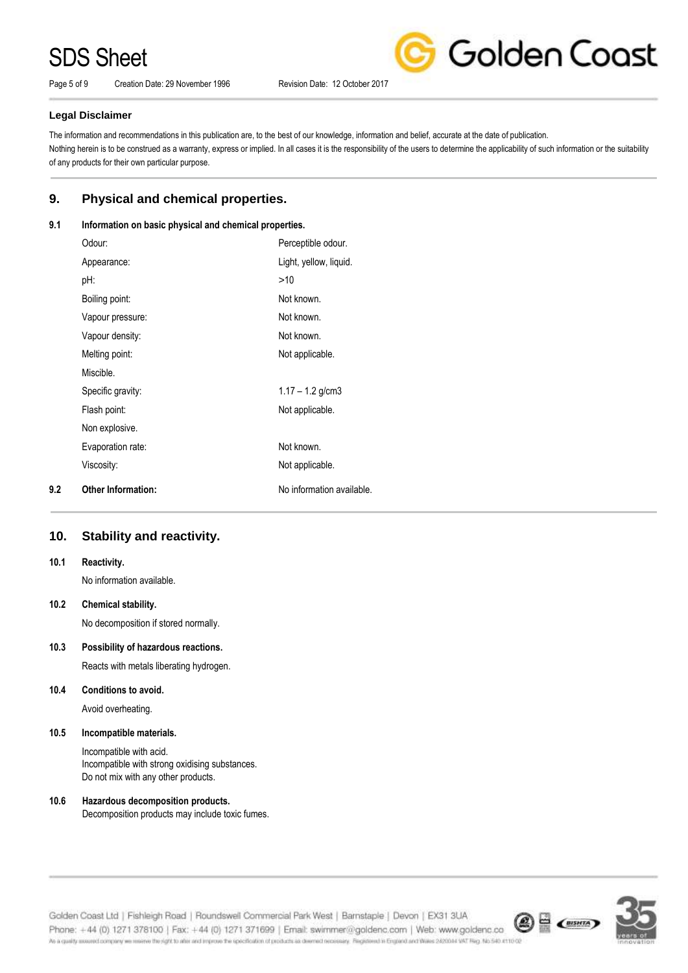Page 5 of 9 Creation Date: 29 November 1996 Revision Date: 12 October 2017

Golden Coast

# **Legal Disclaimer**

The information and recommendations in this publication are, to the best of our knowledge, information and belief, accurate at the date of publication. Nothing herein is to be construed as a warranty, express or implied. In all cases it is the responsibility of the users to determine the applicability of such information or the suitability of any products for their own particular purpose.

# **9. Physical and chemical properties.**

# **9.1 Information on basic physical and chemical properties.**

|     | Odour:                    | Perceptible odour.        |
|-----|---------------------------|---------------------------|
|     | Appearance:               | Light, yellow, liquid.    |
|     | pH:                       | >10                       |
|     | Boiling point:            | Not known.                |
|     | Vapour pressure:          | Not known.                |
|     | Vapour density:           | Not known.                |
|     | Melting point:            | Not applicable.           |
|     | Miscible.                 |                           |
|     | Specific gravity:         | $1.17 - 1.2$ g/cm3        |
|     | Flash point:              | Not applicable.           |
|     | Non explosive.            |                           |
|     | Evaporation rate:         | Not known.                |
|     | Viscosity:                | Not applicable.           |
| 9.2 | <b>Other Information:</b> | No information available. |

# **10. Stability and reactivity.**

# **10.1 Reactivity.**

No information available.

# **10.2 Chemical stability.**

No decomposition if stored normally.

# **10.3 Possibility of hazardous reactions.**

Reacts with metals liberating hydrogen.

# **10.4 Conditions to avoid.**

Avoid overheating.

# **10.5 Incompatible materials.**

Incompatible with acid. Incompatible with strong oxidising substances. Do not mix with any other products.

**10.6 Hazardous decomposition products.** Decomposition products may include toxic fumes.



Golden Coast Ltd | Fishleigh Road | Roundswell Commercial Park West | Barnstaple | Devon | EX31 3UA Phone: +44 (0) 1271 378100 | Fax: +44 (0) 1271 371699 | Email: swimmer@goldenc.com | Web: www.goldenc.co As a quality assumed company we reserve the right to able and improve the specification of products as dewned necessary. Registered in England and Wales 2420044 VAT Reg. No 540 £110.00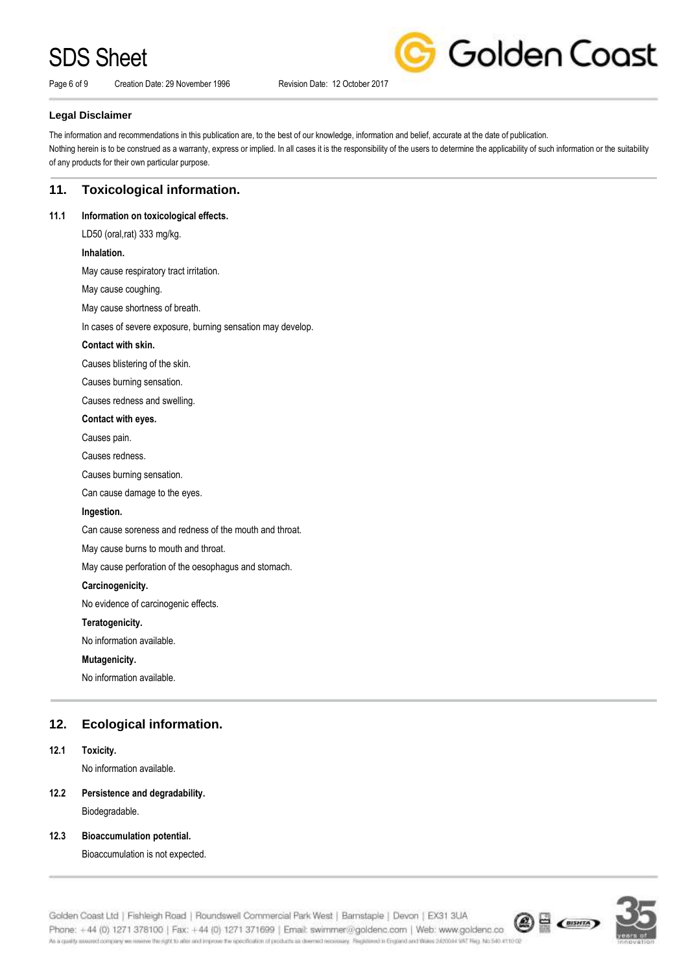Page 6 of 9 Creation Date: 29 November 1996 Revision Date: 12 October 2017

# Golden Coast

#### **Legal Disclaimer**

The information and recommendations in this publication are, to the best of our knowledge, information and belief, accurate at the date of publication. Nothing herein is to be construed as a warranty, express or implied. In all cases it is the responsibility of the users to determine the applicability of such information or the suitability of any products for their own particular purpose.

# **11. Toxicological information.**

# **11.1 Information on toxicological effects.**

LD50 (oral,rat) 333 mg/kg. **Inhalation.** May cause respiratory tract irritation. May cause coughing. May cause shortness of breath. In cases of severe exposure, burning sensation may develop. **Contact with skin.** Causes blistering of the skin. Causes burning sensation. Causes redness and swelling. **Contact with eyes.** Causes pain. Causes redness. Causes burning sensation. Can cause damage to the eyes. **Ingestion.** Can cause soreness and redness of the mouth and throat. May cause burns to mouth and throat. May cause perforation of the oesophagus and stomach. **Carcinogenicity.** No evidence of carcinogenic effects. **Teratogenicity.** No information available. **Mutagenicity.**

No information available.

# **12. Ecological information.**

## **12.1 Toxicity.**

No information available.

# **12.2 Persistence and degradability.**

Biodegradable.

# **12.3 Bioaccumulation potential.**

Bioaccumulation is not expected.

Golden Coast Ltd | Fishleigh Road | Roundswell Commercial Park West | Barnstaple | Devon | EX31 3UA Phone: +44 (0) 1271 378100 | Fax: +44 (0) 1271 371699 | Email: swimmer@goldenc.com | Web: www.goldenc.co we the right to aller and improve the specification of products as deemed necessary. Registered in England and Wales 2420044 WAT Reg. No 540 #110 02 As a quality assumed company we is

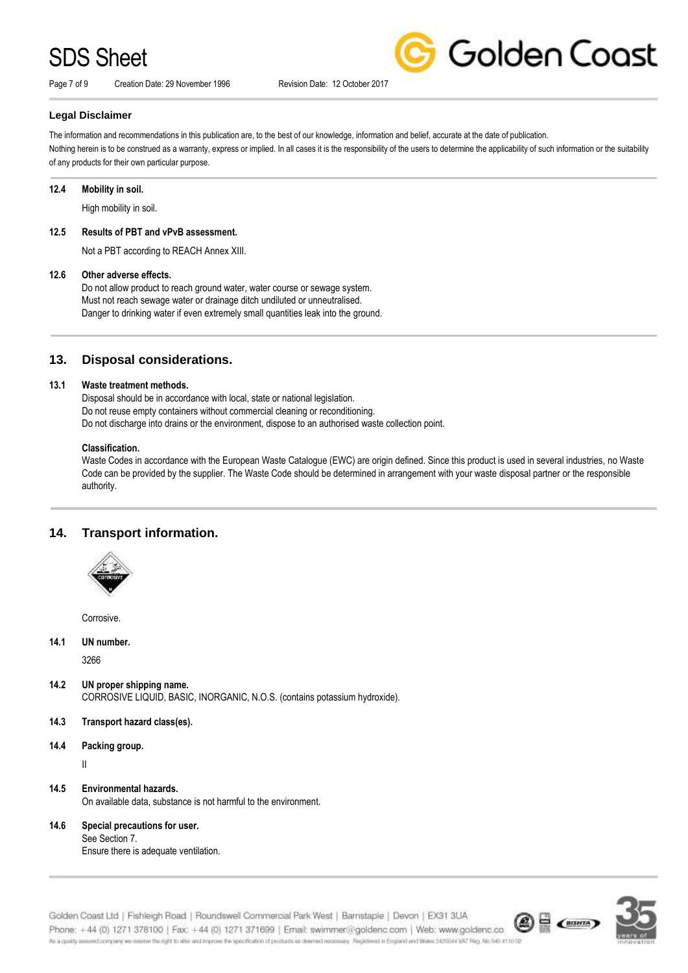Page 7 of 9 Creation Date: 29 November 1996 Revision Date: 12 October 2017



#### **Legal Disclaimer**

The information and recommendations in this publication are, to the best of our knowledge, information and belief, accurate at the date of publication. Nothing herein is to be construed as a warranty, express or implied. In all cases it is the responsibility of the users to determine the applicability of such information or the suitability of any products for their own particular purpose.

#### **12.4 Mobility in soil.**

High mobility in soil.

### **12.5 Results of PBT and vPvB assessment.**

Not a PBT according to REACH Annex XIII.

#### **12.6 Other adverse effects.**

Do not allow product to reach ground water, water course or sewage system. Must not reach sewage water or drainage ditch undiluted or unneutralised. Danger to drinking water if even extremely small quantities leak into the ground.

# **13. Disposal considerations.**

#### **13.1 Waste treatment methods.**

Disposal should be in accordance with local, state or national legislation. Do not reuse empty containers without commercial cleaning or reconditioning. Do not discharge into drains or the environment, dispose to an authorised waste collection point.

#### **Classification.**

Waste Codes in accordance with the European Waste Catalogue (EWC) are origin defined. Since this product is used in several industries, no Waste Code can be provided by the supplier. The Waste Code should be determined in arrangement with your waste disposal partner or the responsible authority.

# **14. Transport information.**



Corrosive.

**14.1 UN number.**

3266

**14.2 UN proper shipping name.** CORROSIVE LIQUID, BASIC, INORGANIC, N.O.S. (contains potassium hydroxide).

# **14.3 Transport hazard class(es).**

**14.4 Packing group.**

II

**14.5 Environmental hazards.**

On available data, substance is not harmful to the environment.

# **14.6 Special precautions for user.**

See Section 7. Ensure there is adequate ventilation.

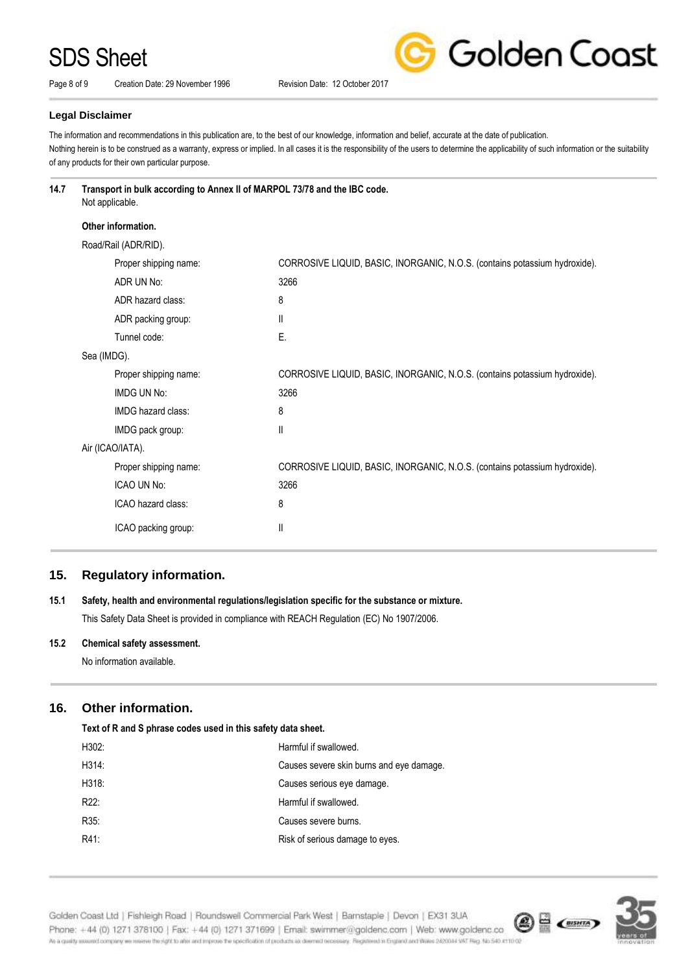Page 8 of 9 Creation Date: 29 November 1996 Revision Date: 12 October 2017

Golden Coast

# **Legal Disclaimer**

The information and recommendations in this publication are, to the best of our knowledge, information and belief, accurate at the date of publication. Nothing herein is to be construed as a warranty, express or implied. In all cases it is the responsibility of the users to determine the applicability of such information or the suitability of any products for their own particular purpose.

# **14.7 Transport in bulk according to Annex II of MARPOL 73/78 and the IBC code.**

Not applicable.

#### **Other information.** Road/Rail (ADR/RID).

|             | ROAD/RAII (ADR/RID).  |                                                                            |
|-------------|-----------------------|----------------------------------------------------------------------------|
|             | Proper shipping name: | CORROSIVE LIQUID, BASIC, INORGANIC, N.O.S. (contains potassium hydroxide). |
|             | ADR UN No:            | 3266                                                                       |
|             | ADR hazard class:     | 8                                                                          |
|             | ADR packing group:    | $\mathsf{II}$                                                              |
|             | Tunnel code:          | Ε.                                                                         |
| Sea (IMDG). |                       |                                                                            |
|             | Proper shipping name: | CORROSIVE LIQUID, BASIC, INORGANIC, N.O.S. (contains potassium hydroxide). |
|             | IMDG UN No:           | 3266                                                                       |
|             | IMDG hazard class:    | 8                                                                          |
|             | IMDG pack group:      | $\mathsf{II}$                                                              |
|             | Air (ICAO/IATA).      |                                                                            |
|             | Proper shipping name: | CORROSIVE LIQUID, BASIC, INORGANIC, N.O.S. (contains potassium hydroxide). |
|             | ICAO UN No:           | 3266                                                                       |
|             | ICAO hazard class:    | 8                                                                          |
|             | ICAO packing group:   | $\mathsf{II}$                                                              |
|             |                       |                                                                            |

# **15. Regulatory information.**

# **15.1 Safety, health and environmental regulations/legislation specific for the substance or mixture.**

This Safety Data Sheet is provided in compliance with REACH Regulation (EC) No 1907/2006.

# **15.2 Chemical safety assessment.**

No information available.

# **16. Other information.**

| Text of R and S phrase codes used in this safety data sheet. |                                          |  |
|--------------------------------------------------------------|------------------------------------------|--|
| H302:                                                        | Harmful if swallowed.                    |  |
| H314:                                                        | Causes severe skin burns and eye damage. |  |
| H318:                                                        | Causes serious eye damage.               |  |
| R22:                                                         | Harmful if swallowed.                    |  |
| R35:                                                         | Causes severe burns.                     |  |
| R41:                                                         | Risk of serious damage to eyes.          |  |
|                                                              |                                          |  |